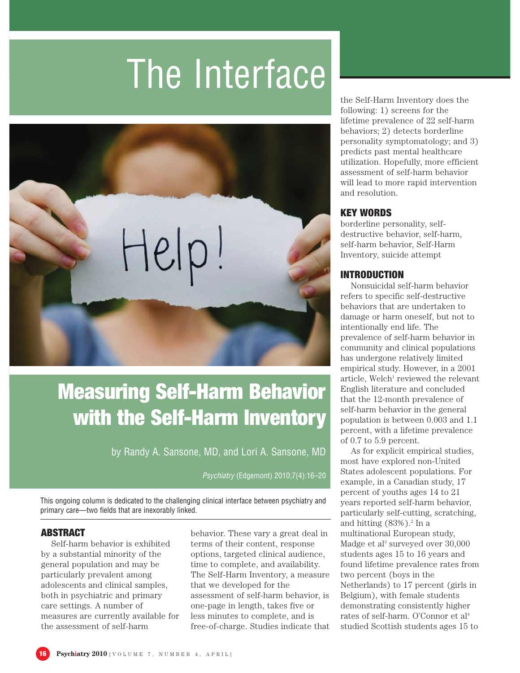# The Interface



# Measuring Self-Harm Behavior with the Self-Harm Inventory

by Randy A. Sansone, MD, and Lori A. Sansone, MD

Psychiatry (Edgemont) 2010;7(4):16–20

This ongoing column is dedicated to the challenging clinical interface between psychiatry and primary care—two fields that are inexorably linked.

## ABSTRACT

Self-harm behavior is exhibited by a substantial minority of the general population and may be particularly prevalent among adolescents and clinical samples, both in psychiatric and primary care settings. A number of measures are currently available for the assessment of self-harm

behavior. These vary a great deal in terms of their content, response options, targeted clinical audience, time to complete, and availability. The Self-Harm Inventory, a measure that we developed for the assessment of self-harm behavior, is one-page in length, takes five or less minutes to complete, and is free-of-charge. Studies indicate that the Self-Harm Inventory does the following: 1) screens for the lifetime prevalence of 22 self-harm behaviors; 2) detects borderline personality symptomatology; and 3) predicts past mental healthcare utilization. Hopefully, more efficient assessment of self-harm behavior will lead to more rapid intervention and resolution.

## KEY WORDS

borderline personality, selfdestructive behavior, self-harm, self-harm behavior, Self-Harm Inventory, suicide attempt

# INTRODUCTION

Nonsuicidal self-harm behavior refers to specific self-destructive behaviors that are undertaken to damage or harm oneself, but not to intentionally end life. The prevalence of self-harm behavior in community and clinical populations has undergone relatively limited empirical study. However, in a 2001 article, Welch<sup>1</sup> reviewed the relevant English literature and concluded that the 12-month prevalence of self-harm behavior in the general population is between 0.003 and 1.1 percent, with a lifetime prevalence of 0.7 to 5.9 percent.

As for explicit empirical studies, most have explored non-United States adolescent populations. For example, in a Canadian study, 17 percent of youths ages 14 to 21 years reported self-harm behavior, particularly self-cutting, scratching, and hitting  $(83%)$ .<sup>2</sup> In a multinational European study, Madge et al<sup>3</sup> surveyed over 30,000 students ages 15 to 16 years and found lifetime prevalence rates from two percent (boys in the Netherlands) to 17 percent (girls in Belgium), with female students demonstrating consistently higher rates of self-harm. O'Connor et al4 studied Scottish students ages 15 to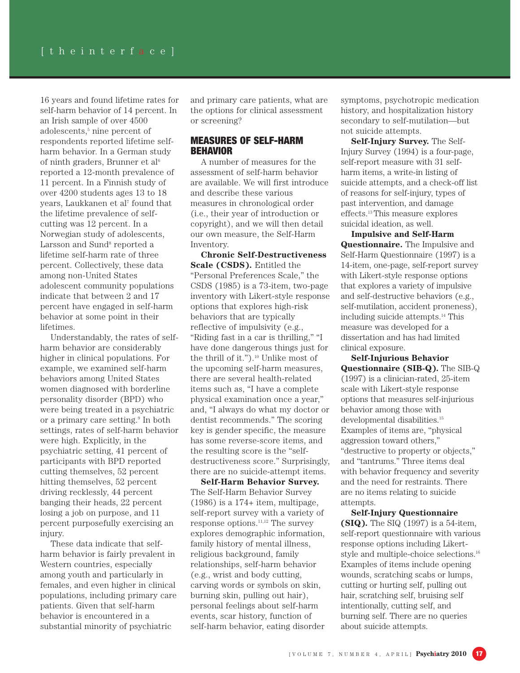16 years and found lifetime rates for self-harm behavior of 14 percent. In an Irish sample of over 4500 adolescents,<sup>5</sup> nine percent of respondents reported lifetime selfharm behavior. In a German study of ninth graders, Brunner et  $al<sup>6</sup>$ reported a 12-month prevalence of 11 percent. In a Finnish study of over 4200 students ages 13 to 18 years, Laukkanen et al<sup>7</sup> found that the lifetime prevalence of selfcutting was 12 percent. In a Norwegian study of adolescents, Larsson and Sund<sup>8</sup> reported a lifetime self-harm rate of three percent. Collectively, these data among non-United States adolescent community populations indicate that between 2 and 17 percent have engaged in self-harm behavior at some point in their lifetimes.

Understandably, the rates of selfharm behavior are considerably higher in clinical populations. For example, we examined self-harm behaviors among United States women diagnosed with borderline personality disorder (BPD) who were being treated in a psychiatric or a primary care setting.9 In both settings, rates of self-harm behavior were high. Explicitly, in the psychiatric setting, 41 percent of participants with BPD reported cutting themselves, 52 percent hitting themselves, 52 percent driving recklessly, 44 percent banging their heads, 22 percent losing a job on purpose, and 11 percent purposefully exercising an injury.

These data indicate that selfharm behavior is fairly prevalent in Western countries, especially among youth and particularly in females, and even higher in clinical populations, including primary care patients. Given that self-harm behavior is encountered in a substantial minority of psychiatric

and primary care patients, what are the options for clinical assessment or screening?

#### MEASURES OF SELF-HARM **BEHAVIOR**

A number of measures for the assessment of self-harm behavior are available. We will first introduce and describe these various measures in chronological order (i.e., their year of introduction or copyright), and we will then detail our own measure, the Self-Harm Inventory.

**Chronic Self-Destructiveness Scale (CSDS).** Entitled the "Personal Preferences Scale," the CSDS (1985) is a 73-item, two-page inventory with Likert-style response options that explores high-risk behaviors that are typically reflective of impulsivity (e.g., "Riding fast in a car is thrilling," "I have done dangerous things just for the thrill of it.").<sup>10</sup> Unlike most of the upcoming self-harm measures, there are several health-related items such as, "I have a complete physical examination once a year," and, "I always do what my doctor or dentist recommends." The scoring key is gender specific, the measure has some reverse-score items, and the resulting score is the "selfdestructiveness score." Surprisingly, there are no suicide-attempt items.

**Self-Harm Behavior Survey.** The Self-Harm Behavior Survey  $(1986)$  is a  $174+$  item, multipage, self-report survey with a variety of response options.11,12 The survey explores demographic information, family history of mental illness, religious background, family relationships, self-harm behavior (e.g., wrist and body cutting, carving words or symbols on skin, burning skin, pulling out hair), personal feelings about self-harm events, scar history, function of self-harm behavior, eating disorder

symptoms, psychotropic medication history, and hospitalization history secondary to self-mutilation—but not suicide attempts.

**Self-Injury Survey.** The Self-Injury Survey (1994) is a four-page, self-report measure with 31 selfharm items, a write-in listing of suicide attempts, and a check-off list of reasons for self-injury, types of past intervention, and damage effects.13This measure explores suicidal ideation, as well.

**Impulsive and Self-Harm Questionnaire.** The Impulsive and Self-Harm Questionnaire (1997) is a 14-item, one-page, self-report survey with Likert-style response options that explores a variety of impulsive and self-destructive behaviors (e.g., self-mutilation, accident proneness), including suicide attempts.14 This measure was developed for a dissertation and has had limited clinical exposure.

**Self-Injurious Behavior Questionnaire (SIB-Q).** The SIB-Q (1997) is a clinician-rated, 25-item scale with Likert-style response options that measures self-injurious behavior among those with developmental disabilities.15 Examples of items are, "physical aggression toward others," "destructive to property or objects," and "tantrums." Three items deal with behavior frequency and severity and the need for restraints. There are no items relating to suicide attempts.

**Self-Injury Questionnaire (SIQ).** The SIQ (1997) is a 54-item, self-report questionnaire with various response options including Likertstyle and multiple-choice selections.16 Examples of items include opening wounds, scratching scabs or lumps, cutting or hurting self, pulling out hair, scratching self, bruising self intentionally, cutting self, and burning self. There are no queries about suicide attempts.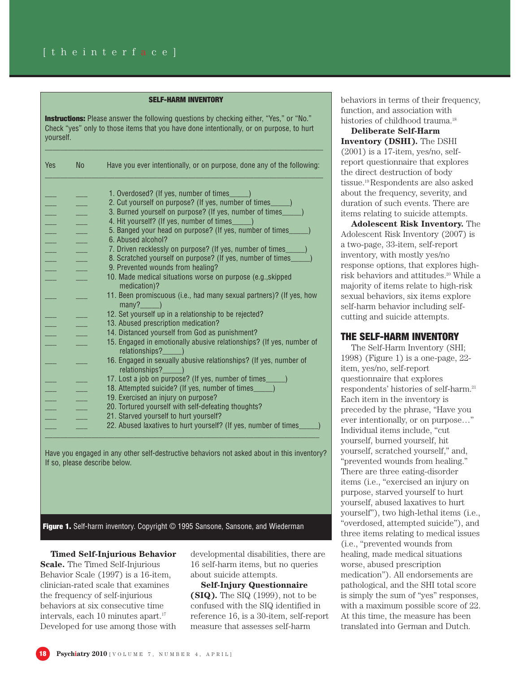#### SELF-HARM INVENTORY

**Instructions:** Please answer the following questions by checking either, "Yes," or "No." Check "yes" only to those items that you have done intentionally, or on purpose, to hurt yourself.

 $\Box$  . The contribution of the contribution of the contribution of the contribution of the contribution of the contribution of the contribution of the contribution of the contribution of the contribution of the contributi

| Yes | <b>No</b> | Have you ever intentionally, or on purpose, done any of the following:                                         |
|-----|-----------|----------------------------------------------------------------------------------------------------------------|
|     |           |                                                                                                                |
|     |           | 1. Overdosed? (If yes, number of times_____)<br>2. Cut yourself on purpose? (If yes, number of times____)      |
|     |           |                                                                                                                |
|     |           | 3. Burned yourself on purpose? (If yes, number of times____)<br>4. Hit yourself? (If yes, number of times____) |
|     |           |                                                                                                                |
|     |           | 5. Banged your head on purpose? (If yes, number of times_<br>6. Abused alcohol?                                |
|     |           | 7. Driven recklessly on purpose? (If yes, number of times                                                      |
|     |           | 8. Scratched yourself on purpose? (If yes, number of times_                                                    |
|     |           | 9. Prevented wounds from healing?                                                                              |
|     |           | 10. Made medical situations worse on purpose (e.g., skipped                                                    |
|     |           | medication)?                                                                                                   |
|     |           | 11. Been promiscuous (i.e., had many sexual partners)? (If yes, how                                            |
|     |           | $many?$ $)$                                                                                                    |
|     |           | 12. Set yourself up in a relationship to be rejected?                                                          |
|     |           | 13. Abused prescription medication?                                                                            |
|     |           | 14. Distanced yourself from God as punishment?                                                                 |
|     |           | 15. Engaged in emotionally abusive relationships? (If yes, number of                                           |
|     |           | relationships? (a)                                                                                             |
|     |           | 16. Engaged in sexually abusive relationships? (If yes, number of                                              |
|     |           | relationships? (a)                                                                                             |
|     |           | 17. Lost a job on purpose? (If yes, number of times_____)                                                      |
|     |           | 18. Attempted suicide? (If yes, number of times_____)                                                          |
|     |           | 19. Exercised an injury on purpose?                                                                            |
|     |           | 20. Tortured yourself with self-defeating thoughts?                                                            |
|     |           |                                                                                                                |
|     |           | 21. Starved yourself to hurt yourself?                                                                         |
|     |           | 22. Abused laxatives to hurt yourself? (If yes, number of times_                                               |

Have you engaged in any other self-destructive behaviors not asked about in this inventory? If so, please describe below.

Figure 1. Self-harm inventory. Copyright © 1995 Sansone, Sansone, and Wiederman

**Timed Self-Injurious Behavior Scale.** The Timed Self-Injurious Behavior Scale (1997) is a 16-item, clinician-rated scale that examines the frequency of self-injurious behaviors at six consecutive time intervals, each 10 minutes apart.<sup>17</sup> Developed for use among those with

developmental disabilities, there are 16 self-harm items, but no queries about suicide attempts.

**Self-Injury Questionnaire (SIQ).** The SIQ (1999), not to be confused with the SIQ identified in reference 16, is a 30-item, self-report measure that assesses self-harm

behaviors in terms of their frequency, function, and association with histories of childhood trauma.<sup>18</sup>

**Deliberate Self-Harm Inventory (DSHI).** The DSHI  $(2001)$  is a 17-item, yes/no, selfreport questionnaire that explores the direct destruction of body tissue.19 Respondents are also asked about the frequency, severity, and duration of such events. There are items relating to suicide attempts.

**Adolescent Risk Inventory.** The Adolescent Risk Inventory (2007) is a two-page, 33-item, self-report inventory, with mostly yes/no response options, that explores highrisk behaviors and attitudes.20 While a majority of items relate to high-risk sexual behaviors, six items explore self-harm behavior including selfcutting and suicide attempts.

#### THE SELF-HARM INVENTORY

The Self-Harm Inventory (SHI; 1998) (Figure 1) is a one-page, 22 item, yes/no, self-report questionnaire that explores respondents' histories of self-harm.21 Each item in the inventory is preceded by the phrase, "Have you ever intentionally, or on purpose…" Individual items include, "cut yourself, burned yourself, hit yourself, scratched yourself," and, "prevented wounds from healing." There are three eating-disorder items (i.e., "exercised an injury on purpose, starved yourself to hurt yourself, abused laxatives to hurt yourself"), two high-lethal items (i.e., "overdosed, attempted suicide"), and three items relating to medical issues (i.e., "prevented wounds from healing, made medical situations worse, abused prescription medication"). All endorsements are pathological, and the SHI total score is simply the sum of "yes" responses, with a maximum possible score of 22. At this time, the measure has been translated into German and Dutch.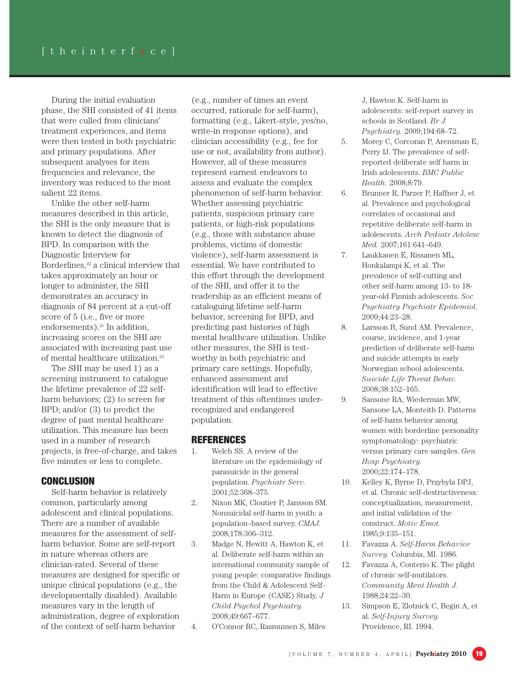During the initial evaluation phase, the SHI consisted of 41 items that were culled from clinicians' treatment experiences, and items were then tested in both psychiatric and primary populations. After subsequent analyses for item frequencies and relevance, the inventory was reduced to the most salient 22 items.

Unlike the other self-harm measures described in this article, the SHI is the only measure that is known to detect the diagnosis of BPD. In comparison with the Diagnostic Interview for Borderlines,<sup>22</sup> a clinical interview that takes approximately an hour or longer to administer, the SHI demonstrates an accuracy in diagnosis of 84 percent at a cut-off score of 5 (i.e., five or more endorsements).<sup>21</sup> In addition, increasing scores on the SHI are associated with increasing past use of mental healthcare utilization.<sup>23</sup>

The SHI may be used 1) as a screening instrument to catalogue the lifetime prevalence of 22 selfharm behaviors; (2) to screen for BPD; and/or (3) to predict the degree of past mental healthcare utilization. This measure has been used in a number of research projects, is free-of-charge, and takes five minutes or less to complete.

#### **CONCLUSION**

Self-harm behavior is relatively common, particularly among adolescent and clinical populations. There are a number of available measures for the assessment of selfharm behavior. Some are self-report in nature whereas others are clinician-rated. Several of these measures are designed for specific or unique clinical populations (e.g., the developmentally disabled). Available measures vary in the length of administration, degree of exploration of the context of self-harm behavior

(e.g., number of times an event occurred, rationale for self-harm), formatting (e.g., Likert-style, yes/no, write-in response options), and clinician accessibility (e.g., fee for use or not, availability from author). However, all of these measures represent earnest endeavors to assess and evaluate the complex phenomenon of self-harm behavior. Whether assessing psychiatric patients, suspicious primary care patients, or high-risk populations (e.g., those with substance abuse problems, victims of domestic violence), self-harm assessment is essential. We have contributed to this effort through the development of the SHI, and offer it to the readership as an efficient means of cataloguing lifetime self-harm behavior, screening for BPD, and predicting past histories of high mental healthcare utilization. Unlike other measures, the SHI is testworthy in both psychiatric and primary care settings. Hopefully, enhanced assessment and identification will lead to effective treatment of this oftentimes underrecognized and endangered population.

#### REFERENCES

- 1. Welch SS. A review of the literature on the epidemiology of parasuicide in the general population. *Psychiatr Serv.* 2001;52:368–375.
- 2. Nixon MK, Cloutier P, Jansson SM. Nonsuicidal self-harm in youth: a population–based survey. *CMAJ.* 2008;178:306–312.
- 3. Madge N, Hewitt A, Hawton K, et al. Deliberate self-harm within an international community sample of young people: comparative findings from the Child & Adolescent Self-Harm in Europe (CASE) Study. *J Child Psychol Psychiatry.* 2008;49:667–677.
- 4. O'Connor RC, Rasmussen S, Miles

J, Hawton K. Self-harm in adolescents: self-report survey in schools in Scotland. *Br J Psychiatry.* 2009;194:68–72.

- 5. Morey C, Corcoran P, Arensman E, Perry IJ. The prevalence of selfreported deliberate self harm in Irish adolescents. *BMC Public Health.* 2008;8:79.
- 6. Brunner R, Parzer P, Haffner J, et al. Prevalence and psychological correlates of occasional and repetitive deliberate self-harm in adolescents. *Arch Pediatr Adolesc Med.* 2007;161:641–649.
- 7. Laukkanen E, Rissanen ML, Honkalampi K, et al. The prevalence of self-cutting and other self-harm among 13- to 18 year-old Finnish adolescents. *Soc Psychiatry Psychiatr Epidemiol.* 2009;44:23–28.
- 8. Larsson B, Sund AM. Prevalence, course, incidence, and 1-year prediction of deliberate self-harm and suicide attempts in early Norwegian school adolescents. *Suicide Life Threat Behav.* 2008;38:152–165.
- 9. Sansone RA, Wiederman MW, Sansone LA, Monteith D. Patterns of self-harm behavior among women with borderline personality symptomatology: psychiatric versus primary care samples. *Gen Hosp Psychiatry.* 2000;22:174–178.
- 10. Kelley K, Byrne D, Przybyla DPJ, et al. Chronic self-destructiveness: conceptualization, measurement, and initial validation of the construct. *Motiv Emot.* 1985;9:135–151.
- 11. Favazza A. *Self-Harm Behavior Survey.* Columbia, MI. 1986.
- 12. Favazza A, Conterio K. The plight of chronic self-mutilators. *Community Ment Health J.* 1988;24:22–30.
- 13. Simpson E, Zlotnick C, Begin A, et al. *Self-Injury Survey.* Providence, RI. 1994.